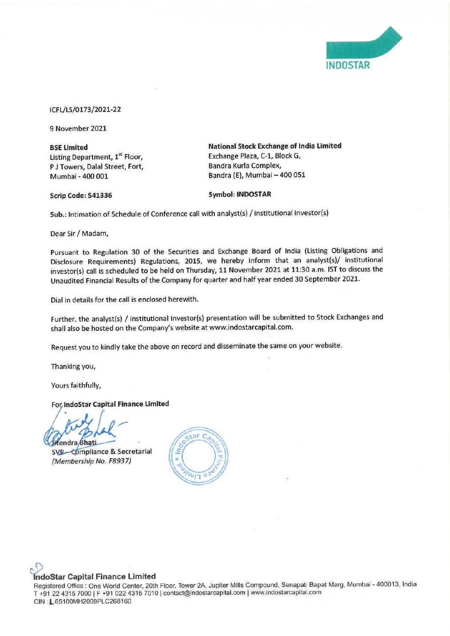

## ICFL/LS/0173/2021-22

9 November 2021

**BSE Limited**  Listing Department, **1st** Floor, P J Towers, Dalal Street, Fort, Mumbai - 400 001

**National Stock Exchange of India Limited**  Exchange Plaza, C-1, Block G, Bandra Kurla Complex, Bandra **(E),** Mumbai - 400 051

**Scrip Code: 541336** 

**Symbol: INDOSTAR** 

**Sub.:** Intimation of Schedule of Conference call with analyst(s) / institutional investor(s)

Dear Sir/ Madam,

Pursuant to Regulation 30 of the Securities and Exchange Board of India (Listing Obligations and Disclosure Requirements) Regulations, 2015, we hereby inform that an analyst(s)/ institutional investor(s) call is scheduled to be held on Thursday, 11 November 2021 at 11:30 a.m. 1ST to discuss the Unaudited Financial Results of the Company for quarter and half year ended 30 September 2021.

Dial in details for the call is enclosed herewith.

Further, the analyst(s) / institutional investor(s) presentation will be submitted to Stock Exchanges and shall also be hosted on the Company's website at www.indostarcapital.com.

Request you to kindly take the above on record and disseminate the same on your website.

Thanking you,

Yours faithfully,

**For IndoStar Capital Finance Limited** 

,,,- itendra Bhati

SVP-Compliance & Secretarial {Membership No. F8937)



## **~ oStar Capital Finance Limited**

Registered Office: One World Center, 20th Floor, Tower 2A, Jupiter Mills Compound, Senapati Bapat Marg, Mumbai - 400013, India T +91 22 4315 7000 I F +910224315 7010 Icontact@indostarcapital.com I www.indostarcapital.com CIN : L65100MH2009PLC268160